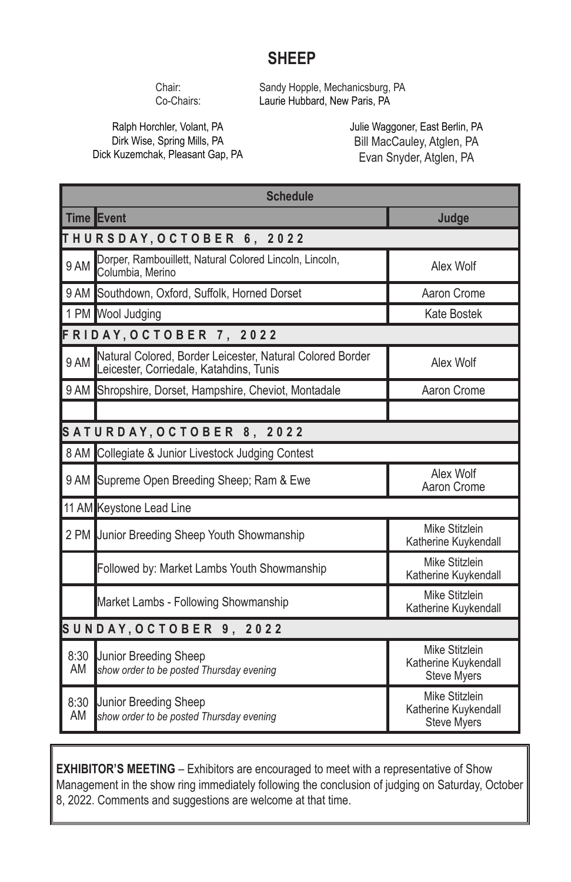## **SHEEP**

Chair: Sandy Hopple, Mechanicsburg, PA<br>Co-Chairs: Laurie Hubbard. New Paris. PA Laurie Hubbard, New Paris, PA

Ralph Horchler, Volant, PA Dirk Wise, Spring Mills, PA Dick Kuzemchak, Pleasant Gap, PA Julie Waggoner, East Berlin, PA Bill MacCauley, Atglen, PA Evan Snyder, Atglen, PA

|                           | <b>Schedule</b>                                                                                      |                                                              |  |  |  |  |  |
|---------------------------|------------------------------------------------------------------------------------------------------|--------------------------------------------------------------|--|--|--|--|--|
|                           | Time Event                                                                                           | Judge                                                        |  |  |  |  |  |
|                           | THURSDAY, OCTOBER 6, 2022                                                                            |                                                              |  |  |  |  |  |
| 9 AM                      | Dorper, Rambouillett, Natural Colored Lincoln, Lincoln,<br>Columbia, Merino                          | Alex Wolf                                                    |  |  |  |  |  |
|                           | 9 AM Southdown, Oxford, Suffolk, Horned Dorset                                                       | Aaron Crome                                                  |  |  |  |  |  |
|                           | 1 PM Wool Judging                                                                                    | <b>Kate Bostek</b>                                           |  |  |  |  |  |
|                           | FRIDAY, OCTOBER 7, 2022                                                                              |                                                              |  |  |  |  |  |
| 9 AM                      | Natural Colored, Border Leicester, Natural Colored Border<br>Leicester, Corriedale, Katahdins, Tunis | Alex Wolf                                                    |  |  |  |  |  |
|                           | 9 AM Shropshire, Dorset, Hampshire, Cheviot, Montadale                                               | Aaron Crome                                                  |  |  |  |  |  |
|                           |                                                                                                      |                                                              |  |  |  |  |  |
| SATURDAY, OCTOBER 8, 2022 |                                                                                                      |                                                              |  |  |  |  |  |
|                           | 8 AM Collegiate & Junior Livestock Judging Contest                                                   |                                                              |  |  |  |  |  |
|                           | 9 AM Supreme Open Breeding Sheep; Ram & Ewe                                                          | Alex Wolf<br>Aaron Crome                                     |  |  |  |  |  |
|                           | 11 AM Keystone Lead Line                                                                             |                                                              |  |  |  |  |  |
|                           | 2 PM Junior Breeding Sheep Youth Showmanship                                                         | Mike Stitzlein<br>Katherine Kuykendall                       |  |  |  |  |  |
|                           | Followed by: Market Lambs Youth Showmanship                                                          | Mike Stitzlein<br>Katherine Kuykendall                       |  |  |  |  |  |
|                           | Market Lambs - Following Showmanship                                                                 | Mike Stitzlein<br>Katherine Kuykendall                       |  |  |  |  |  |
| SUNDAY, OCTOBER 9, 2022   |                                                                                                      |                                                              |  |  |  |  |  |
| 8:30<br>AM                | Junior Breeding Sheep<br>show order to be posted Thursday evening                                    | Mike Stitzlein<br>Katherine Kuykendall<br><b>Steve Myers</b> |  |  |  |  |  |
| 8:30<br>AM                | <b>Junior Breeding Sheep</b><br>show order to be posted Thursday evening                             | Mike Stitzlein<br>Katherine Kuykendall<br><b>Steve Myers</b> |  |  |  |  |  |

**EXHIBITOR'S MEETING** – Exhibitors are encouraged to meet with a representative of Show Management in the show ring immediately following the conclusion of judging on Saturday, October 8, 2022. Comments and suggestions are welcome at that time.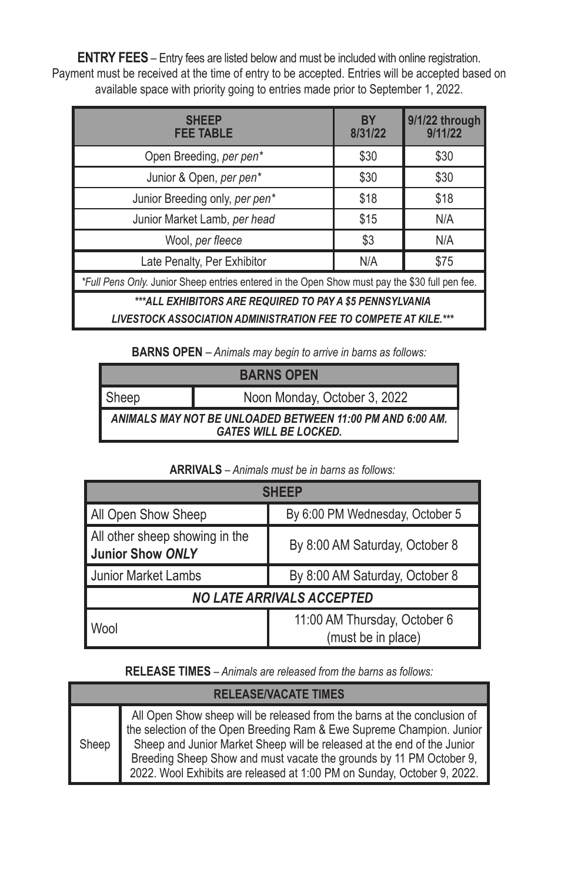**ENTRY FEES** – Entry fees are listed below and must be included with online registration. Payment must be received at the time of entry to be accepted. Entries will be accepted based on available space with priority going to entries made prior to September 1, 2022.

| <b>SHFFP</b><br><b>FEE TABLE</b>                                                               | <b>BY</b><br>8/31/22 | 9/1/22 through<br>9/11/22 |  |  |  |  |
|------------------------------------------------------------------------------------------------|----------------------|---------------------------|--|--|--|--|
| Open Breeding, per pen*                                                                        | \$30                 | \$30                      |  |  |  |  |
| Junior & Open, per pen*                                                                        | \$30                 | \$30                      |  |  |  |  |
| Junior Breeding only, per pen*                                                                 | \$18                 | \$18                      |  |  |  |  |
| Junior Market Lamb, per head                                                                   | \$15                 | N/A                       |  |  |  |  |
| Wool, per fleece                                                                               | \$3                  | N/A                       |  |  |  |  |
| Late Penalty, Per Exhibitor                                                                    | N/A                  | \$75                      |  |  |  |  |
| *Full Pens Only. Junior Sheep entries entered in the Open Show must pay the \$30 full pen fee. |                      |                           |  |  |  |  |
| ***ALL EXHIBITORS ARE REQUIRED TO PAY A \$5 PENNSYLVANIA                                       |                      |                           |  |  |  |  |

*LIVESTOCK ASSOCIATION ADMINISTRATION FEE TO COMPETE AT KILE.\*\*\**

**BARNS OPEN** *– Animals may begin to arrive in barns as follows:*

| <b>BARNS OPEN</b>                                                                         |                              |  |  |  |
|-------------------------------------------------------------------------------------------|------------------------------|--|--|--|
| I Sheep                                                                                   | Noon Monday, October 3, 2022 |  |  |  |
| ANIMALS MAY NOT BE UNLOADED BETWEEN 11:00 PM AND 6:00 AM.<br><b>GATES WILL BE LOCKED.</b> |                              |  |  |  |

## **ARRIVALS** *– Animals must be in barns as follows:*

| <b>SHFFP</b>                                              |                                                    |  |  |  |
|-----------------------------------------------------------|----------------------------------------------------|--|--|--|
| All Open Show Sheep                                       | By 6:00 PM Wednesday, October 5                    |  |  |  |
| All other sheep showing in the<br><b>Junior Show ONLY</b> | By 8:00 AM Saturday, October 8                     |  |  |  |
| Junior Market Lambs                                       | By 8:00 AM Saturday, October 8                     |  |  |  |
| <b>NO LATE ARRIVALS ACCEPTED</b>                          |                                                    |  |  |  |
| Wool                                                      | 11:00 AM Thursday, October 6<br>(must be in place) |  |  |  |

**RELEASE TIMES** *– Animals are released from the barns as follows:*

| <b>RELEASE/VACATE TIMES</b> |                                                                                                                                                                                                                                                                                                                                                                                |  |  |  |  |
|-----------------------------|--------------------------------------------------------------------------------------------------------------------------------------------------------------------------------------------------------------------------------------------------------------------------------------------------------------------------------------------------------------------------------|--|--|--|--|
| Sheep                       | All Open Show sheep will be released from the barns at the conclusion of<br>the selection of the Open Breeding Ram & Ewe Supreme Champion. Junior<br>Sheep and Junior Market Sheep will be released at the end of the Junior<br>Breeding Sheep Show and must vacate the grounds by 11 PM October 9,<br>2022. Wool Exhibits are released at 1:00 PM on Sunday, October 9, 2022. |  |  |  |  |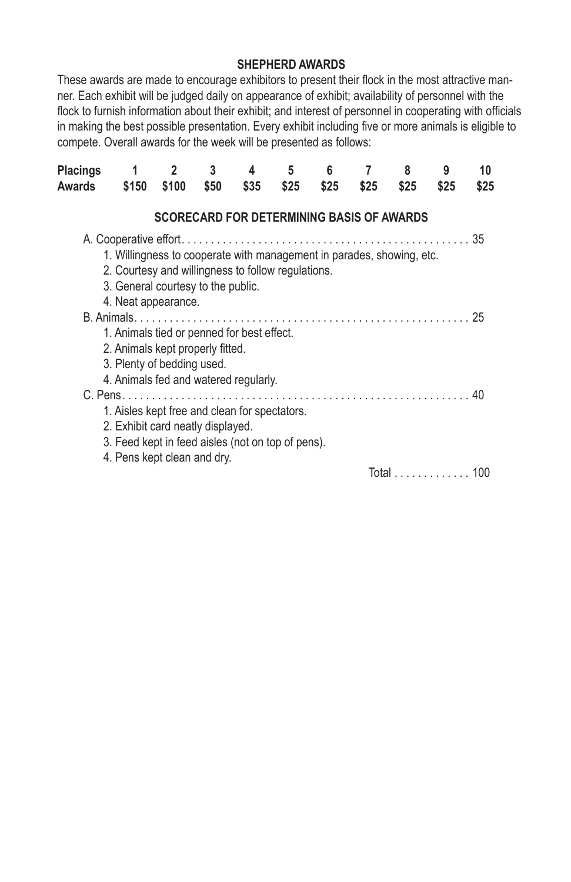## **SHEPHERD AWARDS**

These awards are made to encourage exhibitors to present their flock in the most attractive manner. Each exhibit will be judged daily on appearance of exhibit; availability of personnel with the flock to furnish information about their exhibit; and interest of personnel in cooperating with officials in making the best possible presentation. Every exhibit including five or more animals is eligible to compete. Overall awards for the week will be presented as follows:

| Placings<br>Awards | 1<br>\$150                                                                                                                                                        | $\overline{2}$<br>\$100                          | 3<br>\$50 | 4<br>\$35 | 5<br>\$25 | 6<br>\$25 | \$25 | 8<br>\$25 | 9<br>\$25 | 10<br>\$25 |
|--------------------|-------------------------------------------------------------------------------------------------------------------------------------------------------------------|--------------------------------------------------|-----------|-----------|-----------|-----------|------|-----------|-----------|------------|
|                    |                                                                                                                                                                   | <b>SCORECARD FOR DETERMINING BASIS OF AWARDS</b> |           |           |           |           |      |           |           |            |
|                    | 1. Willingness to cooperate with management in parades, showing, etc.<br>2. Courtesy and willingness to follow regulations.<br>3. General courtesy to the public. |                                                  |           |           |           |           |      |           |           |            |
|                    | 4. Neat appearance.<br>1. Animals tied or penned for best effect.                                                                                                 |                                                  |           |           |           |           |      |           |           |            |
|                    | 2. Animals kept properly fitted.<br>3. Plenty of bedding used.<br>4. Animals fed and watered regularly.                                                           |                                                  |           |           |           |           |      |           |           |            |
|                    | 1. Aisles kept free and clean for spectators.<br>2. Exhibit card neatly displayed.<br>3. Feed kept in feed aisles (not on top of pens).                           |                                                  |           |           |           |           |      |           |           |            |
|                    | 4. Pens kept clean and dry.                                                                                                                                       |                                                  |           |           |           |           |      |           | Total     | 100        |